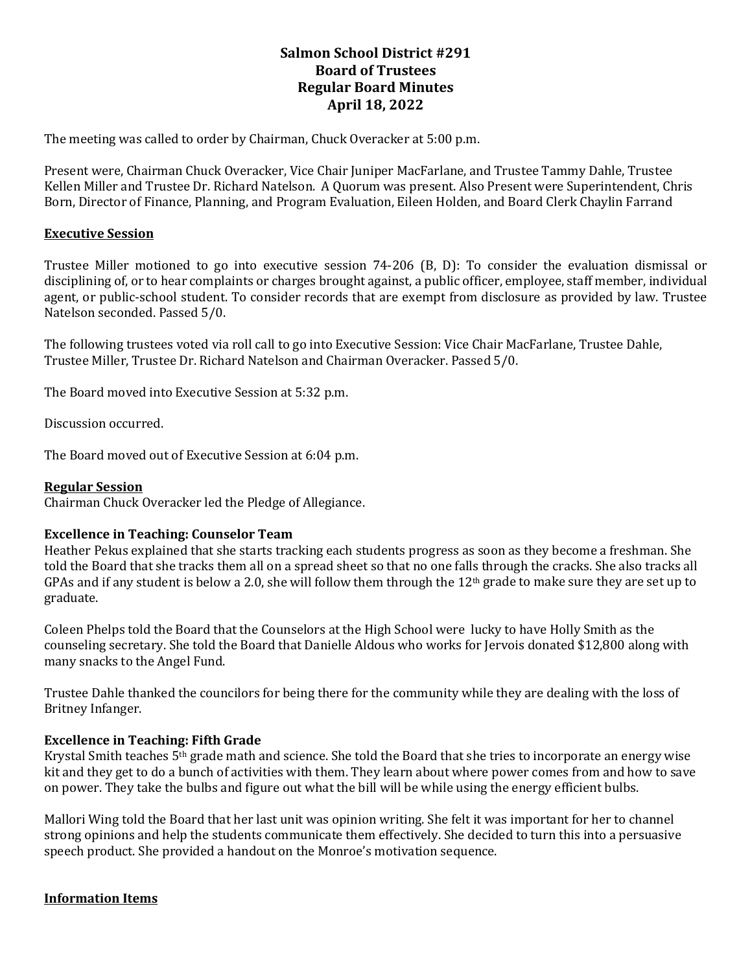# **Salmon School District #291 Board of Trustees Regular Board Minutes April 18, 2022**

The meeting was called to order by Chairman, Chuck Overacker at 5:00 p.m.

Present were, Chairman Chuck Overacker, Vice Chair Juniper MacFarlane, and Trustee Tammy Dahle, Trustee Kellen Miller and Trustee Dr. Richard Natelson. A Quorum was present. Also Present were Superintendent, Chris Born, Director of Finance, Planning, and Program Evaluation, Eileen Holden, and Board Clerk Chaylin Farrand

### **Executive Session**

Trustee Miller motioned to go into executive session 74-206 (B, D): To consider the evaluation dismissal or disciplining of, or to hear complaints or charges brought against, a public officer, employee, staff member, individual agent, or public-school student. To consider records that are exempt from disclosure as provided by law. Trustee Natelson seconded. Passed 5/0.

The following trustees voted via roll call to go into Executive Session: Vice Chair MacFarlane, Trustee Dahle, Trustee Miller, Trustee Dr. Richard Natelson and Chairman Overacker. Passed 5/0.

The Board moved into Executive Session at 5:32 p.m.

Discussion occurred.

The Board moved out of Executive Session at 6:04 p.m.

### **Regular Session**

Chairman Chuck Overacker led the Pledge of Allegiance.

### **Excellence in Teaching: Counselor Team**

Heather Pekus explained that she starts tracking each students progress as soon as they become a freshman. She told the Board that she tracks them all on a spread sheet so that no one falls through the cracks. She also tracks all GPAs and if any student is below a 2.0, she will follow them through the  $12<sup>th</sup>$  grade to make sure they are set up to graduate.

Coleen Phelps told the Board that the Counselors at the High School were lucky to have Holly Smith as the counseling secretary. She told the Board that Danielle Aldous who works for Jervois donated \$12,800 along with many snacks to the Angel Fund.

Trustee Dahle thanked the councilors for being there for the community while they are dealing with the loss of Britney Infanger.

## **Excellence in Teaching: Fifth Grade**

Krystal Smith teaches 5th grade math and science. She told the Board that she tries to incorporate an energy wise kit and they get to do a bunch of activities with them. They learn about where power comes from and how to save on power. They take the bulbs and figure out what the bill will be while using the energy efficient bulbs.

Mallori Wing told the Board that her last unit was opinion writing. She felt it was important for her to channel strong opinions and help the students communicate them effectively. She decided to turn this into a persuasive speech product. She provided a handout on the Monroe's motivation sequence.

### **Information Items**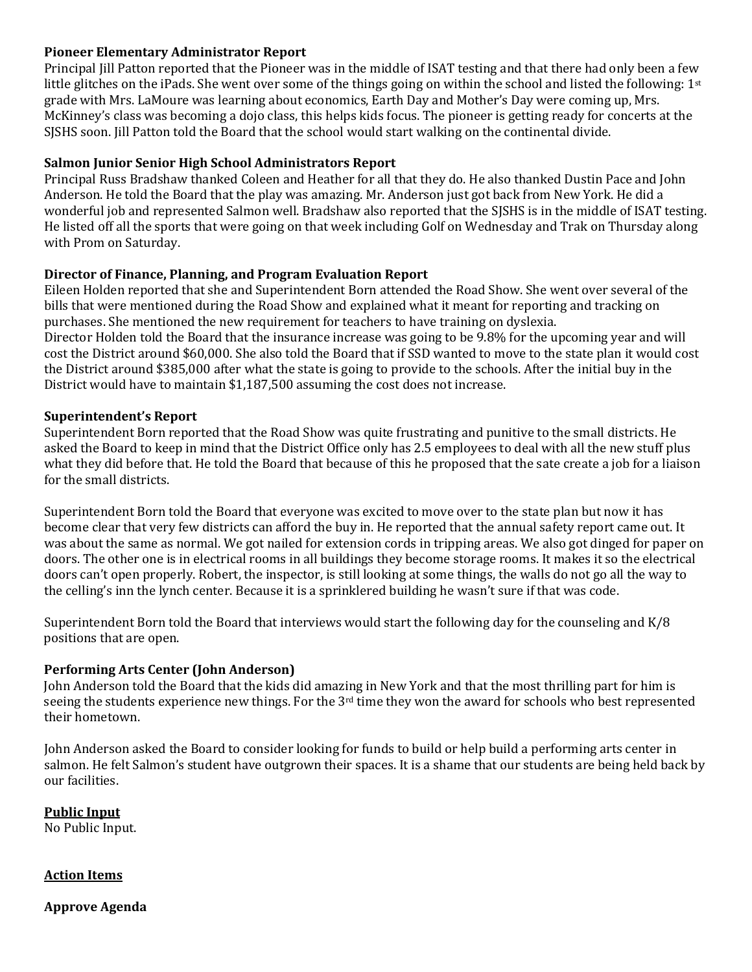### **Pioneer Elementary Administrator Report**

Principal Jill Patton reported that the Pioneer was in the middle of ISAT testing and that there had only been a few little glitches on the iPads. She went over some of the things going on within the school and listed the following:  $1<sup>st</sup>$ grade with Mrs. LaMoure was learning about economics, Earth Day and Mother's Day were coming up, Mrs. McKinney's class was becoming a dojo class, this helps kids focus. The pioneer is getting ready for concerts at the SJSHS soon. Jill Patton told the Board that the school would start walking on the continental divide.

### **Salmon Junior Senior High School Administrators Report**

Principal Russ Bradshaw thanked Coleen and Heather for all that they do. He also thanked Dustin Pace and John Anderson. He told the Board that the play was amazing. Mr. Anderson just got back from New York. He did a wonderful job and represented Salmon well. Bradshaw also reported that the SJSHS is in the middle of ISAT testing. He listed off all the sports that were going on that week including Golf on Wednesday and Trak on Thursday along with Prom on Saturday.

## **Director of Finance, Planning, and Program Evaluation Report**

Eileen Holden reported that she and Superintendent Born attended the Road Show. She went over several of the bills that were mentioned during the Road Show and explained what it meant for reporting and tracking on purchases. She mentioned the new requirement for teachers to have training on dyslexia. Director Holden told the Board that the insurance increase was going to be 9.8% for the upcoming year and will cost the District around \$60,000. She also told the Board that if SSD wanted to move to the state plan it would cost the District around \$385,000 after what the state is going to provide to the schools. After the initial buy in the District would have to maintain \$1,187,500 assuming the cost does not increase.

### **Superintendent's Report**

Superintendent Born reported that the Road Show was quite frustrating and punitive to the small districts. He asked the Board to keep in mind that the District Office only has 2.5 employees to deal with all the new stuff plus what they did before that. He told the Board that because of this he proposed that the sate create a job for a liaison for the small districts.

Superintendent Born told the Board that everyone was excited to move over to the state plan but now it has become clear that very few districts can afford the buy in. He reported that the annual safety report came out. It was about the same as normal. We got nailed for extension cords in tripping areas. We also got dinged for paper on doors. The other one is in electrical rooms in all buildings they become storage rooms. It makes it so the electrical doors can't open properly. Robert, the inspector, is still looking at some things, the walls do not go all the way to the celling's inn the lynch center. Because it is a sprinklered building he wasn't sure if that was code.

Superintendent Born told the Board that interviews would start the following day for the counseling and K/8 positions that are open.

## **Performing Arts Center (John Anderson)**

John Anderson told the Board that the kids did amazing in New York and that the most thrilling part for him is seeing the students experience new things. For the 3<sup>rd</sup> time they won the award for schools who best represented their hometown.

John Anderson asked the Board to consider looking for funds to build or help build a performing arts center in salmon. He felt Salmon's student have outgrown their spaces. It is a shame that our students are being held back by our facilities.

**Public Input** No Public Input.

## **Action Items**

**Approve Agenda**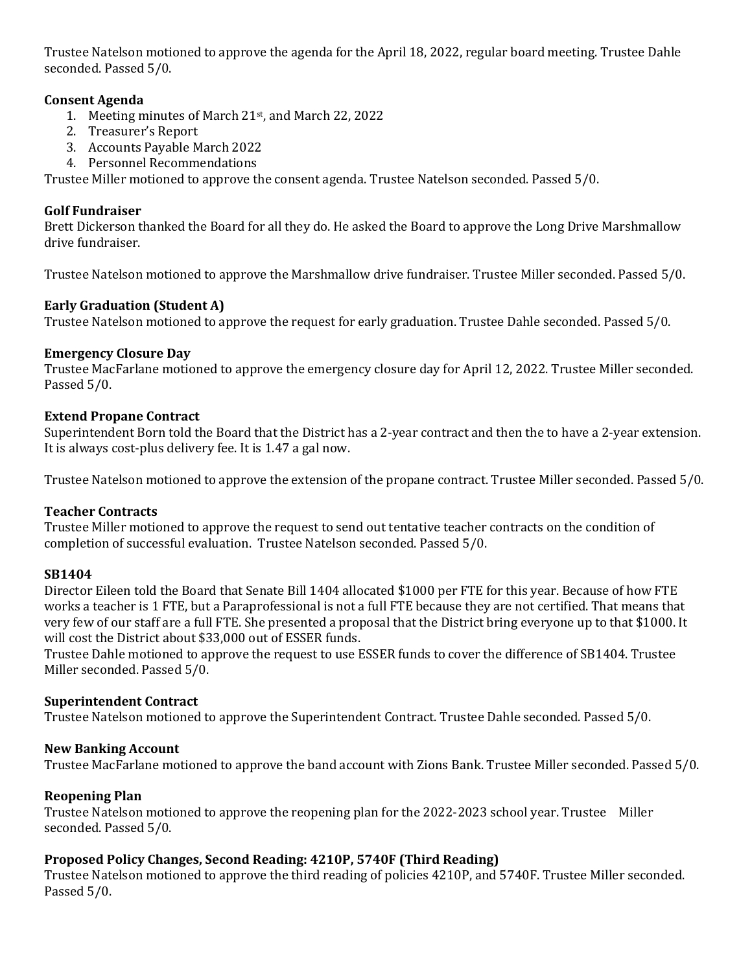Trustee Natelson motioned to approve the agenda for the April 18, 2022, regular board meeting. Trustee Dahle seconded. Passed 5/0.

## **Consent Agenda**

- 1. Meeting minutes of March 21st, and March 22, 2022
- 2. Treasurer's Report
- 3. Accounts Payable March 2022
- 4. Personnel Recommendations

Trustee Miller motioned to approve the consent agenda. Trustee Natelson seconded. Passed 5/0.

## **Golf Fundraiser**

Brett Dickerson thanked the Board for all they do. He asked the Board to approve the Long Drive Marshmallow drive fundraiser.

Trustee Natelson motioned to approve the Marshmallow drive fundraiser. Trustee Miller seconded. Passed 5/0.

## **Early Graduation (Student A)**

Trustee Natelson motioned to approve the request for early graduation. Trustee Dahle seconded. Passed 5/0.

### **Emergency Closure Day**

Trustee MacFarlane motioned to approve the emergency closure day for April 12, 2022. Trustee Miller seconded. Passed 5/0.

## **Extend Propane Contract**

Superintendent Born told the Board that the District has a 2-year contract and then the to have a 2-year extension. It is always cost-plus delivery fee. It is 1.47 a gal now.

Trustee Natelson motioned to approve the extension of the propane contract. Trustee Miller seconded. Passed 5/0.

## **Teacher Contracts**

Trustee Miller motioned to approve the request to send out tentative teacher contracts on the condition of completion of successful evaluation. Trustee Natelson seconded. Passed 5/0.

### **SB1404**

Director Eileen told the Board that Senate Bill 1404 allocated \$1000 per FTE for this year. Because of how FTE works a teacher is 1 FTE, but a Paraprofessional is not a full FTE because they are not certified. That means that very few of our staff are a full FTE. She presented a proposal that the District bring everyone up to that \$1000. It will cost the District about \$33,000 out of ESSER funds.

Trustee Dahle motioned to approve the request to use ESSER funds to cover the difference of SB1404. Trustee Miller seconded. Passed 5/0.

## **Superintendent Contract**

Trustee Natelson motioned to approve the Superintendent Contract. Trustee Dahle seconded. Passed 5/0.

## **New Banking Account**

Trustee MacFarlane motioned to approve the band account with Zions Bank. Trustee Miller seconded. Passed 5/0.

## **Reopening Plan**

Trustee Natelson motioned to approve the reopening plan for the 2022-2023 school year. Trustee Miller seconded. Passed 5/0.

## **Proposed Policy Changes, Second Reading: 4210P, 5740F (Third Reading)**

Trustee Natelson motioned to approve the third reading of policies 4210P, and 5740F. Trustee Miller seconded. Passed 5/0.